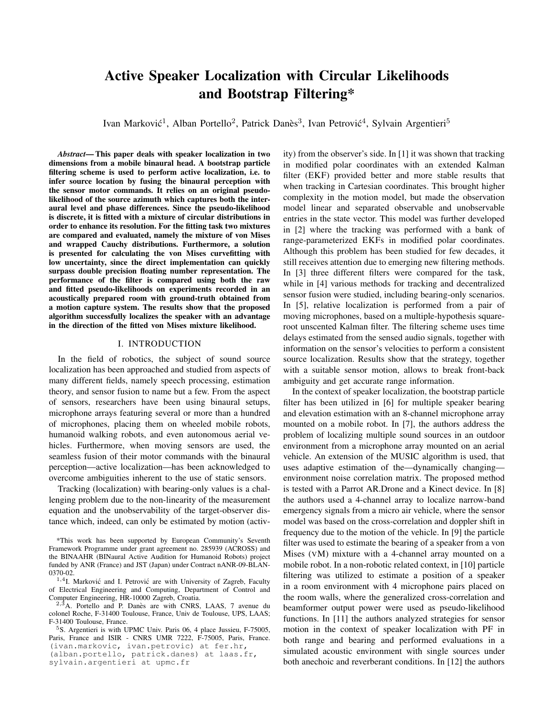# Active Speaker Localization with Circular Likelihoods and Bootstrap Filtering\*

Ivan Marković<sup>1</sup>, Alban Portello<sup>2</sup>, Patrick Danès<sup>3</sup>, Ivan Petrović<sup>4</sup>, Sylvain Argentieri<sup>5</sup>

*Abstract*— This paper deals with speaker localization in two dimensions from a mobile binaural head. A bootstrap particle filtering scheme is used to perform active localization, i.e. to infer source location by fusing the binaural perception with the sensor motor commands. It relies on an original pseudolikelihood of the source azimuth which captures both the interaural level and phase differences. Since the pseudo-likelihood is discrete, it is fitted with a mixture of circular distributions in order to enhance its resolution. For the fitting task two mixtures are compared and evaluated, namely the mixture of von Mises and wrapped Cauchy distributions. Furthermore, a solution is presented for calculating the von Mises curvefitting with low uncertainty, since the direct implementation can quickly surpass double precision floating number representation. The performance of the filter is compared using both the raw and fitted pseudo-likelihoods on experiments recorded in an acoustically prepared room with ground-truth obtained from a motion capture system. The results show that the proposed algorithm successfully localizes the speaker with an advantage in the direction of the fitted von Mises mixture likelihood.

## I. INTRODUCTION

In the field of robotics, the subject of sound source localization has been approached and studied from aspects of many different fields, namely speech processing, estimation theory, and sensor fusion to name but a few. From the aspect of sensors, researchers have been using binaural setups, microphone arrays featuring several or more than a hundred of microphones, placing them on wheeled mobile robots, humanoid walking robots, and even autonomous aerial vehicles. Furthermore, when moving sensors are used, the seamless fusion of their motor commands with the binaural perception—active localization—has been acknowledged to overcome ambiguities inherent to the use of static sensors.

Tracking (localization) with bearing-only values is a challenging problem due to the non-linearity of the measurement equation and the unobservability of the target-observer distance which, indeed, can only be estimated by motion (activity) from the observer's side. In [1] it was shown that tracking in modified polar coordinates with an extended Kalman filter (EKF) provided better and more stable results that when tracking in Cartesian coordinates. This brought higher complexity in the motion model, but made the observation model linear and separated observable and unobservable entries in the state vector. This model was further developed in [2] where the tracking was performed with a bank of range-parameterized EKFs in modified polar coordinates. Although this problem has been studied for few decades, it still receives attention due to emerging new filtering methods. In [3] three different filters were compared for the task, while in [4] various methods for tracking and decentralized sensor fusion were studied, including bearing-only scenarios. In [5], relative localization is performed from a pair of moving microphones, based on a multiple-hypothesis squareroot unscented Kalman filter. The filtering scheme uses time delays estimated from the sensed audio signals, together with information on the sensor's velocities to perform a consistent source localization. Results show that the strategy, together with a suitable sensor motion, allows to break front-back ambiguity and get accurate range information.

In the context of speaker localization, the bootstrap particle filter has been utilized in [6] for multiple speaker bearing and elevation estimation with an 8-channel microphone array mounted on a mobile robot. In [7], the authors address the problem of localizing multiple sound sources in an outdoor environment from a microphone array mounted on an aerial vehicle. An extension of the MUSIC algorithm is used, that uses adaptive estimation of the—dynamically changing environment noise correlation matrix. The proposed method is tested with a Parrot AR.Drone and a Kinect device. In [8] the authors used a 4-channel array to localize narrow-band emergency signals from a micro air vehicle, where the sensor model was based on the cross-correlation and doppler shift in frequency due to the motion of the vehicle. In [9] the particle filter was used to estimate the bearing of a speaker from a von Mises (VM) mixture with a 4-channel array mounted on a mobile robot. In a non-robotic related context, in [10] particle filtering was utilized to estimate a position of a speaker in a room environment with 4 microphone pairs placed on the room walls, where the generalized cross-correlation and beamformer output power were used as pseudo-likelihood functions. In [11] the authors analyzed strategies for sensor motion in the context of speaker localization with PF in both range and bearing and performed evaluations in a simulated acoustic environment with single sources under both anechoic and reverberant conditions. In [12] the authors

<sup>\*</sup>This work has been supported by European Community's Seventh Framework Programme under grant agreement no. 285939 (ACROSS) and the BINAAHR (BINaural Active Audition for Humanoid Robots) project funded by ANR (France) and JST (Japan) under Contract nANR-09-BLAN-0370-02.

<sup>&</sup>lt;sup>1,4</sup>I. Marković and I. Petrović are with University of Zagreb, Faculty of Electrical Engineering and Computing, Department of Control and Computer Engineering, HR-10000 Zagreb, Croatia.

 $2.3$ A. Portello and P. Danès are with CNRS, LAAS, 7 avenue du colonel Roche, F-31400 Toulouse, France, Univ de Toulouse, UPS, LAAS; F-31400 Toulouse, France.

<sup>5</sup>S. Argentieri is with UPMC Univ. Paris 06, 4 place Jussieu, F-75005, Paris, France and ISIR - CNRS UMR 7222, F-75005, Paris, France. (ivan.markovic, ivan.petrovic) at fer.hr, (alban.portello, patrick.danes) at laas.fr, sylvain.argentieri at upmc.fr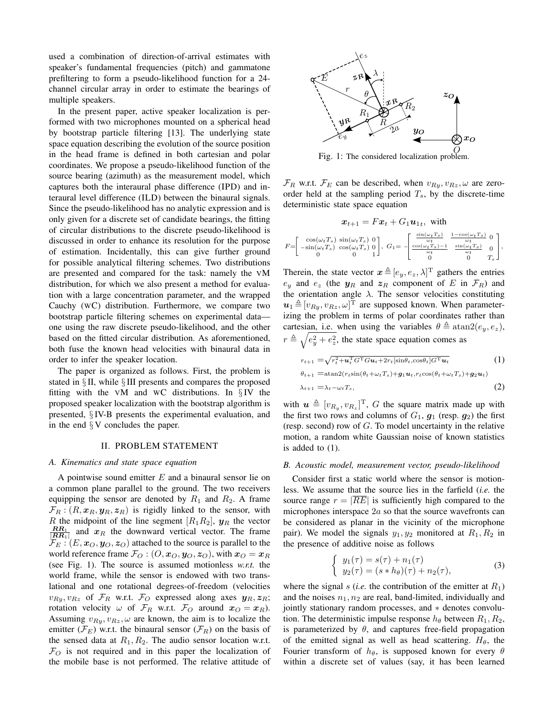used a combination of direction-of-arrival estimates with speaker's fundamental frequencies (pitch) and gammatone prefiltering to form a pseudo-likelihood function for a 24 channel circular array in order to estimate the bearings of multiple speakers.

In the present paper, active speaker localization is performed with two microphones mounted on a spherical head by bootstrap particle filtering [13]. The underlying state space equation describing the evolution of the source position in the head frame is defined in both cartesian and polar coordinates. We propose a pseudo-likelihood function of the source bearing (azimuth) as the measurement model, which captures both the interaural phase difference (IPD) and interaural level difference (ILD) between the binaural signals. Since the pseudo-likelihood has no analytic expression and is only given for a discrete set of candidate bearings, the fitting of circular distributions to the discrete pseudo-likelihood is discussed in order to enhance its resolution for the purpose of estimation. Incidentally, this can give further ground for possible analytical filtering schemes. Two distributions are presented and compared for the task: namely the VM distribution, for which we also present a method for evaluation with a large concentration parameter, and the wrapped Cauchy (WC) distribution. Furthermore, we compare two bootstrap particle filtering schemes on experimental data one using the raw discrete pseudo-likelihood, and the other based on the fitted circular distribution. As aforementioned, both fuse the known head velocities with binaural data in order to infer the speaker location.

The paper is organized as follows. First, the problem is stated in § II, while § III presents and compares the proposed fitting with the VM and WC distributions. In  $\S$ IV the proposed speaker localization with the bootstrap algorithm is presented, § IV-B presents the experimental evaluation, and in the end  $\S V$  concludes the paper.

### II. PROBLEM STATEMENT

#### *A. Kinematics and state space equation*

A pointwise sound emitter  $E$  and a binaural sensor lie on a common plane parallel to the ground. The two receivers equipping the sensor are denoted by  $R_1$  and  $R_2$ . A frame  $\mathcal{F}_R$ :  $(R, x_R, y_R, z_R)$  is rigidly linked to the sensor, with R the midpoint of the line segment  $[R_1R_2]$ ,  $y_R$  the vector  $\frac{RR_1}{|RR_1|}$  and  $x_R$  the downward vertical vector. The frame  $\mathcal{F}_E$ :  $(E, x_O, y_O, z_O)$  attached to the source is parallel to the world reference frame  $\mathcal{F}_O$  :  $(O, x_O, y_O, z_O)$ , with  $x_O = x_R$ (see Fig. 1). The source is assumed motionless *w.r.t.* the world frame, while the sensor is endowed with two translational and one rotational degrees-of-freedom (velocities  $v_{Ry}, v_{Rz}$  of  $\mathcal{F}_R$  w.r.t.  $\mathcal{F}_O$  expressed along axes  $y_R, z_R$ ; rotation velocity  $\omega$  of  $\mathcal{F}_R$  w.r.t.  $\mathcal{F}_O$  around  $x_O = x_R$ ). Assuming  $v_{Ry}, v_{Rz}, \omega$  are known, the aim is to localize the emitter ( $\mathcal{F}_E$ ) w.r.t. the binaural sensor ( $\mathcal{F}_R$ ) on the basis of the sensed data at  $R_1, R_2$ . The audio sensor location w.r.t.  $\mathcal{F}_O$  is not required and in this paper the localization of the mobile base is not performed. The relative attitude of



O Fig. 1: The considered localization problem.

 $\mathcal{F}_R$  w.r.t.  $\mathcal{F}_E$  can be described, when  $v_{Ry}, v_{Rz}, \omega$  are zeroorder held at the sampling period  $T_s$ , by the discrete-time deterministic state space equation

$$
\boldsymbol{x}_{t+1} = F \boldsymbol{x}_t + G_1 \boldsymbol{u}_{1t}, \text{ with}
$$
\n
$$
F = \begin{bmatrix} \cos(\omega_t T_s) & \sin(\omega_t T_s) & 0\\ -\sin(\omega_t T_s) & \cos(\omega_t T_s) & 0\\ 0 & 0 & 1 \end{bmatrix}, \ G_1 = -\begin{bmatrix} \frac{\sin(\omega_t T_s)}{\omega_t} & \frac{1 - \cos(\omega_t T_s)}{\omega_t} & 0\\ \frac{\cos(\omega_t T_s) - 1}{\omega_t} & \frac{\sin(\omega_t T_s)}{\omega_t} & 0\\ 0 & 0 & T_s \end{bmatrix},
$$

Therein, the state vector  $\mathbf{x} \triangleq [e_y, e_z, \lambda]^\text{T}$  gathers the entries  $e_y$  and  $e_z$  (the  $y_R$  and  $z_R$  component of E in  $\mathcal{F}_R$ ) and the orientation angle  $\lambda$ . The sensor velocities constituting  $u_1 \triangleq [v_{Ry}, v_{Rz}, \omega]^T$  are supposed known. When parameterizing the problem in terms of polar coordinates rather than cartesian, i.e. when using the variables  $\theta \triangleq \text{atan2}(e_u, e_z)$ ,  $r \triangleq \sqrt{e_y^2 + e_z^2}$ , the state space equation comes as

$$
r_{t+1} = \sqrt{r_t^2 + \mathbf{u}_t^{\mathrm{T}} G^{\mathrm{T}} G \mathbf{u}_t + 2r_t [\sin \theta_t, \cos \theta_t] G^{\mathrm{T}} \mathbf{u}_t}
$$
(1)  
\n
$$
\theta_{t+1} = \operatorname{atan2}(r_t \sin(\theta_t + \omega_t T_s) + \mathbf{g}_1 \mathbf{u}_t, r_t \cos(\theta_t + \omega_t T_s) + \mathbf{g}_2 \mathbf{u}_t)
$$
  
\n
$$
\lambda_{t+1} = \lambda_t - \omega_t T_s,
$$
(2)

with  $\mathbf{u} \triangleq [v_{R_y}, v_{R_z}]^{\mathrm{T}}$ , G the square matrix made up with the first two rows and columns of  $G_1$ ,  $g_1$  (resp.  $g_2$ ) the first (resp. second) row of  $G$ . To model uncertainty in the relative motion, a random white Gaussian noise of known statistics is added to (1).

#### *B. Acoustic model, measurement vector, pseudo-likelihood*

Consider first a static world where the sensor is motionless. We assume that the source lies in the farfield (*i.e.* the source range  $r = |\overline{RE}|$  is sufficiently high compared to the microphones interspace 2a so that the source wavefronts can be considered as planar in the vicinity of the microphone pair). We model the signals  $y_1, y_2$  monitored at  $R_1, R_2$  in the presence of additive noise as follows

$$
\begin{cases}\n y_1(\tau) = s(\tau) + n_1(\tau) \\
y_2(\tau) = (s * h_\theta)(\tau) + n_2(\tau),\n\end{cases} \tag{3}
$$

where the signal s (*i.e.* the contribution of the emitter at  $R_1$ ) and the noises  $n_1, n_2$  are real, band-limited, individually and jointly stationary random processes, and ∗ denotes convolution. The deterministic impulse response  $h_{\theta}$  between  $R_1, R_2$ , is parameterized by  $\theta$ , and captures free-field propagation of the emitted signal as well as head scattering.  $H_{\theta}$ , the Fourier transform of  $h_{\theta}$ , is supposed known for every  $\theta$ within a discrete set of values (say, it has been learned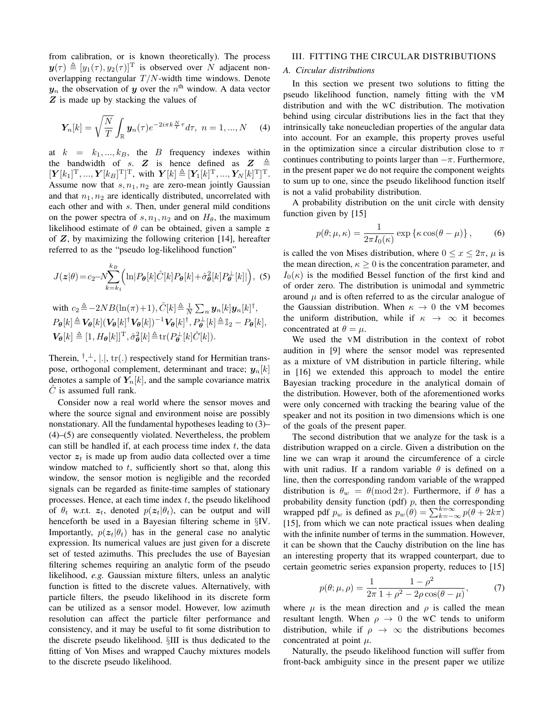from calibration, or is known theoretically). The process  $y(\tau) \triangleq [y_1(\tau), y_2(\tau)]^{\text{T}}$  is observed over N adjacent nonoverlapping rectangular  $T/N$ -width time windows. Denote  $y_n$  the observation of y over the  $n^{\text{th}}$  window. A data vector Z is made up by stacking the values of

$$
\boldsymbol{Y}_n[k] = \sqrt{\frac{N}{T}} \int_{\mathbb{R}} \boldsymbol{y}_n(\tau) e^{-2i\pi k \frac{N}{T}\tau} d\tau, \ n = 1, ..., N \quad (4)
$$

at  $k = k_1, ..., k_B$ , the B frequency indexes within the bandwidth of  $s$ .  $Z$  is hence defined as  $Z$  $[\boldsymbol{Y}[k_1]^{\mathrm{T}},..., \boldsymbol{Y}[k_B]^{\mathrm{T}}]^{\mathrm{T}}$ , with  $\boldsymbol{Y}[k] \triangleq [\boldsymbol{Y}_1[k]^{\mathrm{T}},..., \boldsymbol{Y}_N[k]^{\mathrm{T}}]^{\mathrm{T}}$ . Assume now that  $s, n_1, n_2$  are zero-mean jointly Gaussian and that  $n_1, n_2$  are identically distributed, uncorrelated with each other and with s. Then, under general mild conditions on the power spectra of  $s, n_1, n_2$  and on  $H_\theta$ , the maximum likelihood estimate of  $\theta$  can be obtained, given a sample z of  $Z$ , by maximizing the following criterion [14], hereafter referred to as the "pseudo log-likelihood function"

$$
J(z|\theta) = c_2 - N \sum_{k=k_1}^{k_B} \Big( \ln |P_{\theta}[k]\hat{C}[k]P_{\theta}[k] + \hat{\sigma}_{\theta}^2[k]P_{\theta}^{\perp}[k] \Big), \tag{5}
$$

with 
$$
c_2 \triangleq -2NB(\ln(\pi)+1)
$$
,  $\hat{C}[k] \triangleq \frac{1}{N} \sum_n \mathbf{y}_n[k] \mathbf{y}_n[k]^{\dagger}$ ,  
\n $P_{\theta}[k] \triangleq \mathbf{V}_{\theta}[k](\mathbf{V}_{\theta}[k]^{\dagger} \mathbf{V}_{\theta}[k])^{-1} \mathbf{V}_{\theta}[k]^{\dagger}$ ,  $P_{\theta}^{\perp}[k] \triangleq \mathbb{I}_2 - P_{\theta}[k]$ ,  
\n $\mathbf{V}_{\theta}[k] \triangleq [1, H_{\theta}[k]]^{\mathrm{T}}$ ,  $\hat{\sigma}_{\theta}^2[k] \triangleq \text{tr}(P_{\theta}^{\perp}[k]\hat{C}[k])$ .

Therein,  $^{\dagger}$ ,  $^{\perp}$ ,  $|.|$ ,  $\text{tr}(.)$  respectively stand for Hermitian transpose, orthogonal complement, determinant and trace;  $y_n[k]$ denotes a sample of  $Y_n[k]$ , and the sample covariance matrix  $C$  is assumed full rank.

Consider now a real world where the sensor moves and where the source signal and environment noise are possibly nonstationary. All the fundamental hypotheses leading to (3)– (4)–(5) are consequently violated. Nevertheless, the problem can still be handled if, at each process time index  $t$ , the data vector  $z_t$  is made up from audio data collected over a time window matched to  $t$ , sufficiently short so that, along this window, the sensor motion is negligible and the recorded signals can be regarded as finite-time samples of stationary processes. Hence, at each time index  $t$ , the pseudo likelihood of  $\theta_t$  w.r.t.  $z_t$ , denoted  $p(z_t|\theta_t)$ , can be output and will henceforth be used in a Bayesian filtering scheme in §IV. Importantly,  $p(z_t|\theta_t)$  has in the general case no analytic expression. Its numerical values are just given for a discrete set of tested azimuths. This precludes the use of Bayesian filtering schemes requiring an analytic form of the pseudo likelihood, *e.g.* Gaussian mixture filters, unless an analytic function is fitted to the discrete values. Alternatively, with particle filters, the pseudo likelihood in its discrete form can be utilized as a sensor model. However, low azimuth resolution can affect the particle filter performance and consistency, and it may be useful to fit some distribution to the discrete pseudo likelihood. §III is thus dedicated to the fitting of Von Mises and wrapped Cauchy mixtures models to the discrete pseudo likelihood.

#### III. FITTING THE CIRCULAR DISTRIBUTIONS

# *A. Circular distributions*

In this section we present two solutions to fitting the pseudo likelihood function, namely fitting with the VM distribution and with the WC distribution. The motivation behind using circular distributions lies in the fact that they intrinsically take noneucledian properties of the angular data into account. For an example, this property proves useful in the optimization since a circular distribution close to  $\pi$ continues contributing to points larger than  $-\pi$ . Furthermore, in the present paper we do not require the component weights to sum up to one, since the pseudo likelihood function itself is not a valid probability distribution.

A probability distribution on the unit circle with density function given by [15]

$$
p(\theta; \mu, \kappa) = \frac{1}{2\pi I_0(\kappa)} \exp \{ \kappa \cos(\theta - \mu) \}, \quad (6)
$$

is called the von Mises distribution, where  $0 \le x \le 2\pi$ ,  $\mu$  is the mean direction,  $\kappa \geq 0$  is the concentration parameter, and  $I_0(\kappa)$  is the modified Bessel function of the first kind and of order zero. The distribution is unimodal and symmetric around  $\mu$  and is often referred to as the circular analogue of the Gaussian distribution. When  $\kappa \to 0$  the VM becomes the uniform distribution, while if  $\kappa \to \infty$  it becomes concentrated at  $\theta = \mu$ .

We used the VM distribution in the context of robot audition in [9] where the sensor model was represented as a mixture of VM distribution in particle filtering, while in [16] we extended this approach to model the entire Bayesian tracking procedure in the analytical domain of the distribution. However, both of the aforementioned works were only concerned with tracking the bearing value of the speaker and not its position in two dimensions which is one of the goals of the present paper.

The second distribution that we analyze for the task is a distribution wrapped on a circle. Given a distribution on the line we can wrap it around the circumference of a circle with unit radius. If a random variable  $\theta$  is defined on a line, then the corresponding random variable of the wrapped distribution is  $\theta_w = \theta \pmod{2\pi}$ . Furthermore, if  $\theta$  has a probability density function (pdf)  $p$ , then the corresponding wrapped pdf  $p_w$  is defined as  $p_w(\theta) = \sum_{k=-\infty}^{k=\infty} p(\theta + 2k\pi)$ [15], from which we can note practical issues when dealing with the infinite number of terms in the summation. However, it can be shown that the Cauchy distribution on the line has an interesting property that its wrapped counterpart, due to certain geometric series expansion property, reduces to [15]

$$
p(\theta; \mu, \rho) = \frac{1}{2\pi} \frac{1 - \rho^2}{1 + \rho^2 - 2\rho \cos(\theta - \mu)},
$$
(7)

where  $\mu$  is the mean direction and  $\rho$  is called the mean resultant length. When  $\rho \rightarrow 0$  the WC tends to uniform distribution, while if  $\rho \rightarrow \infty$  the distributions becomes concentrated at point  $\mu$ .

Naturally, the pseudo likelihood function will suffer from front-back ambiguity since in the present paper we utilize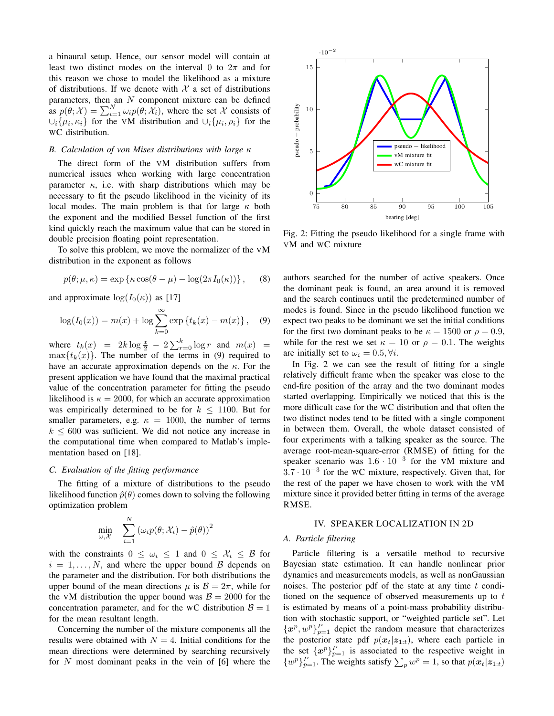a binaural setup. Hence, our sensor model will contain at least two distinct modes on the interval 0 to  $2\pi$  and for this reason we chose to model the likelihood as a mixture of distributions. If we denote with  $X$  a set of distributions parameters, then an  $N$  component mixture can be defined as  $p(\theta; \mathcal{X}) = \sum_{i=1}^{N} \omega_i p(\theta; \mathcal{X}_i)$ , where the set X consists of  $\cup_i \{\mu_i, \kappa_i\}$  for the VM distribution and  $\cup_i \{\mu_i, \rho_i\}$  for the WC distribution.

#### *B. Calculation of von Mises distributions with large* κ

The direct form of the VM distribution suffers from numerical issues when working with large concentration parameter  $\kappa$ , i.e. with sharp distributions which may be necessary to fit the pseudo likelihood in the vicinity of its local modes. The main problem is that for large  $\kappa$  both the exponent and the modified Bessel function of the first kind quickly reach the maximum value that can be stored in double precision floating point representation.

To solve this problem, we move the normalizer of the VM distribution in the exponent as follows

$$
p(\theta; \mu, \kappa) = \exp \{ \kappa \cos(\theta - \mu) - \log(2\pi I_0(\kappa)) \}, \quad (8)
$$

and approximate  $\log(I_0(\kappa))$  as [17]

$$
\log(I_0(x)) = m(x) + \log \sum_{k=0}^{\infty} \exp \{t_k(x) - m(x)\}, \quad (9)
$$

where  $t_k(x) = 2k \log \frac{x}{2} - 2 \sum_{r=0}^k \log r$  and  $m(x) =$  $\max\{t_k(x)\}\.$  The number of the terms in (9) required to have an accurate approximation depends on the  $\kappa$ . For the present application we have found that the maximal practical value of the concentration parameter for fitting the pseudo likelihood is  $\kappa = 2000$ , for which an accurate approximation was empirically determined to be for  $k \le 1100$ . But for smaller parameters, e.g.  $\kappa = 1000$ , the number of terms  $k \leq 600$  was sufficient. We did not notice any increase in the computational time when compared to Matlab's implementation based on [18].

#### *C. Evaluation of the fitting performance*

The fitting of a mixture of distributions to the pseudo likelihood function  $\hat{p}(\theta)$  comes down to solving the following optimization problem

$$
\min_{\omega,\mathcal{X}} \quad \sum_{i=1}^N \left( \omega_i p(\theta; \mathcal{X}_i) - \hat{p}(\theta) \right)^2
$$

with the constraints  $0 \leq \omega_i \leq 1$  and  $0 \leq \mathcal{X}_i \leq \mathcal{B}$  for  $i = 1, \ldots, N$ , and where the upper bound B depends on the parameter and the distribution. For both distributions the upper bound of the mean directions  $\mu$  is  $\mathcal{B} = 2\pi$ , while for the VM distribution the upper bound was  $B = 2000$  for the concentration parameter, and for the WC distribution  $\beta = 1$ for the mean resultant length.

Concerning the number of the mixture components all the results were obtained with  $N = 4$ . Initial conditions for the mean directions were determined by searching recursively for N most dominant peaks in the vein of [6] where the



Fig. 2: Fitting the pseudo likelihood for a single frame with VM and WC mixture

authors searched for the number of active speakers. Once the dominant peak is found, an area around it is removed and the search continues until the predetermined number of modes is found. Since in the pseudo likelihood function we expect two peaks to be dominant we set the initial conditions for the first two dominant peaks to be  $\kappa = 1500$  or  $\rho = 0.9$ , while for the rest we set  $\kappa = 10$  or  $\rho = 0.1$ . The weights are initially set to  $\omega_i = 0.5, \forall i$ .

In Fig. 2 we can see the result of fitting for a single relatively difficult frame when the speaker was close to the end-fire position of the array and the two dominant modes started overlapping. Empirically we noticed that this is the more difficult case for the WC distribution and that often the two distinct nodes tend to be fitted with a single component in between them. Overall, the whole dataset consisted of four experiments with a talking speaker as the source. The average root-mean-square-error (RMSE) of fitting for the speaker scenario was  $1.6 \cdot 10^{-3}$  for the VM mixture and  $3.7 \cdot 10^{-3}$  for the WC mixture, respectively. Given that, for the rest of the paper we have chosen to work with the VM mixture since it provided better fitting in terms of the average RMSE.

#### IV. SPEAKER LOCALIZATION IN 2D

## *A. Particle filtering*

Particle filtering is a versatile method to recursive Bayesian state estimation. It can handle nonlinear prior dynamics and measurements models, as well as nonGaussian noises. The posterior pdf of the state at any time  $t$  conditioned on the sequence of observed measurements up to  $t$ is estimated by means of a point-mass probability distribution with stochastic support, or "weighted particle set". Let  $\{x^p, w^p\}_{p=1}^P$  depict the random measure that characterizes the posterior state pdf  $p(x_t|z_{1:t})$ , where each particle in the set  $\{x^p\}_{p=1}^P$  is associated to the respective weight in  $\{w^p\}_{p=1}^P$ . The weights satisfy  $\sum_p w^p = 1$ , so that  $p(\mathbf{x}_t|\mathbf{z}_{1:t})$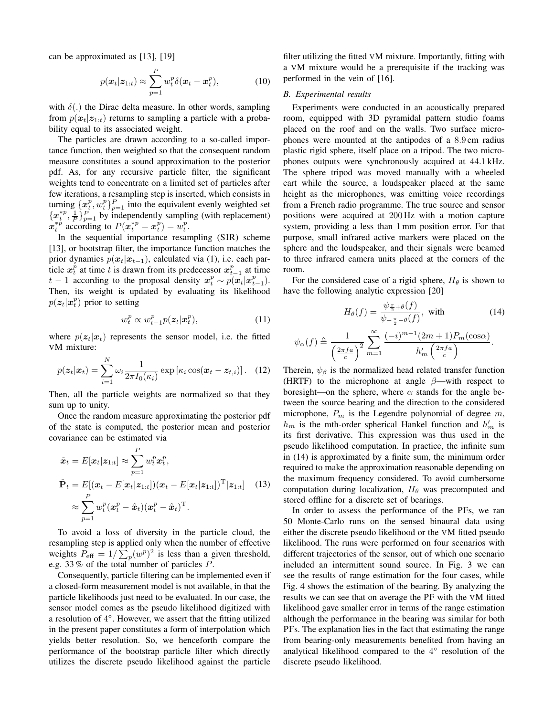can be approximated as [13], [19]

$$
p(\boldsymbol{x}_t|\boldsymbol{z}_{1:t}) \approx \sum_{p=1}^P w_t^p \delta(\boldsymbol{x}_t - \boldsymbol{x}_t^p),
$$
 (10)

with  $\delta(.)$  the Dirac delta measure. In other words, sampling from  $p(x_t|z_{1:t})$  returns to sampling a particle with a probability equal to its associated weight.

The particles are drawn according to a so-called importance function, then weighted so that the consequent random measure constitutes a sound approximation to the posterior pdf. As, for any recursive particle filter, the significant weights tend to concentrate on a limited set of particles after few iterations, a resampling step is inserted, which consists in turning  $\{x_i^p, w_i^p\}_{p=1}^P$  into the equivalent evenly weighted set  ${x_t^{*p}, \frac{1}{p}}_{p=1}^P$  by independently sampling (with replacement)  $\hat{\boldsymbol{x}}_t^{*p}$  according to  $P(\hat{\boldsymbol{x}}_t^{*p} = \hat{\boldsymbol{x}}_t^p) = \hat{\boldsymbol{w}}_t^p$ .

In the sequential importance resampling (SIR) scheme [13], or bootstrap filter, the importance function matches the prior dynamics  $p(x_t|x_{t-1})$ , calculated via (1), i.e. each particle  $x_t^p$  at time t is drawn from its predecessor  $x_{t-1}^p$  at time  $t - 1$  according to the proposal density  $x_t^p \sim p(x_t | x_{t-1}^p)$ . Then, its weight is updated by evaluating its likelihood  $p(\mathbf{z}_t|\mathbf{x}_t^p)$  prior to setting

$$
w_t^p \propto w_{t-1}^p p(\boldsymbol{z}_t | \boldsymbol{x}_t^p), \tag{11}
$$

where  $p(z_t|x_t)$  represents the sensor model, i.e. the fitted VM mixture:

$$
p(\boldsymbol{z}_t|\boldsymbol{x}_t) = \sum_{i=1}^N \omega_i \frac{1}{2\pi I_0(\kappa_i)} \exp\left[\kappa_i \cos(\boldsymbol{x}_t - \boldsymbol{z}_{t,i})\right]. \quad (12)
$$

Then, all the particle weights are normalized so that they sum up to unity.

Once the random measure approximating the posterior pdf of the state is computed, the posterior mean and posterior covariance can be estimated via

$$
\hat{\boldsymbol{x}}_t = E[\boldsymbol{x}_t | \boldsymbol{z}_{1:t}] \approx \sum_{p=1}^P w_t^p \boldsymbol{x}_t^p,
$$
\n
$$
\hat{\mathbf{P}}_t = E[(\boldsymbol{x}_t - E[\boldsymbol{x}_t | \boldsymbol{z}_{1:t}]) (\boldsymbol{x}_t - E[\boldsymbol{x}_t | \boldsymbol{z}_{1:t}])^{\mathrm{T}} | \boldsymbol{z}_{1:t}] \quad (13)
$$
\n
$$
\approx \sum_{p=1}^P w_t^p (\boldsymbol{x}_t^p - \hat{\boldsymbol{x}}_t) (\boldsymbol{x}_t^p - \hat{\boldsymbol{x}}_t)^{\mathrm{T}}.
$$

To avoid a loss of diversity in the particle cloud, the resampling step is applied only when the number of effective weights  $P_{\text{eff}} = 1/\sum_{p} (w^p)^2$  is less than a given threshold, e.g. 33 % of the total number of particles P.

Consequently, particle filtering can be implemented even if a closed-form measurement model is not available, in that the particle likelihoods just need to be evaluated. In our case, the sensor model comes as the pseudo likelihood digitized with a resolution of  $4^\circ$ . However, we assert that the fitting utilized in the present paper constitutes a form of interpolation which yields better resolution. So, we henceforth compare the performance of the bootstrap particle filter which directly utilizes the discrete pseudo likelihood against the particle

filter utilizing the fitted VM mixture. Importantly, fitting with a VM mixture would be a prerequisite if the tracking was performed in the vein of [16].

# *B. Experimental results*

Experiments were conducted in an acoustically prepared room, equipped with 3D pyramidal pattern studio foams placed on the roof and on the walls. Two surface microphones were mounted at the antipodes of a 8.9 cm radius plastic rigid sphere, itself place on a tripod. The two microphones outputs were synchronously acquired at 44.1 kHz. The sphere tripod was moved manually with a wheeled cart while the source, a loudspeaker placed at the same height as the microphones, was emitting voice recordings from a French radio programme. The true source and sensor positions were acquired at 200 Hz with a motion capture system, providing a less than 1 mm position error. For that purpose, small infrared active markers were placed on the sphere and the loudspeaker, and their signals were beamed to three infrared camera units placed at the corners of the room.

For the considered case of a rigid sphere,  $H_{\theta}$  is shown to have the following analytic expression [20]

$$
H_{\theta}(f) = \frac{\psi_{\frac{\pi}{2} + \theta}(f)}{\psi_{-\frac{\pi}{2} - \theta}(f)}, \text{ with}
$$
 (14)

$$
\psi_{\alpha}(f) \triangleq \frac{1}{\left(\frac{2\pi fa}{c}\right)^2} \sum_{m=1}^{\infty} \frac{(-i)^{m-1}(2m+1)P_m(\cos \alpha)}{h'_m\left(\frac{2\pi fa}{c}\right)}.
$$

Therein,  $\psi_{\beta}$  is the normalized head related transfer function (HRTF) to the microphone at angle  $\beta$ —with respect to boresight—on the sphere, where  $\alpha$  stands for the angle between the source bearing and the direction to the considered microphone,  $P_m$  is the Legendre polynomial of degree  $m$ ,  $h_m$  is the mth-order spherical Hankel function and  $h'_m$  is its first derivative. This expression was thus used in the pseudo likelihood computation. In practice, the infinite sum in (14) is approximated by a finite sum, the minimum order required to make the approximation reasonable depending on the maximum frequency considered. To avoid cumbersome computation during localization,  $H_\theta$  was precomputed and stored offline for a discrete set of bearings.

In order to assess the performance of the PFs, we ran 50 Monte-Carlo runs on the sensed binaural data using either the discrete pseudo likelihood or the VM fitted pseudo likelihood. The runs were performed on four scenarios with different trajectories of the sensor, out of which one scenario included an intermittent sound source. In Fig. 3 we can see the results of range estimation for the four cases, while Fig. 4 shows the estimation of the bearing. By analyzing the results we can see that on average the PF with the VM fitted likelihood gave smaller error in terms of the range estimation although the performance in the bearing was similar for both PFs. The explanation lies in the fact that estimating the range from bearing-only measurements benefited from having an analytical likelihood compared to the 4° resolution of the discrete pseudo likelihood.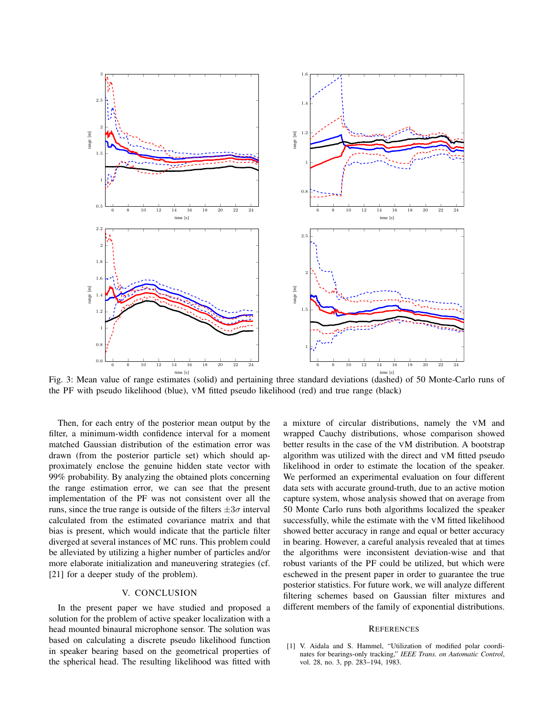

Fig. 3: Mean value of range estimates (solid) and pertaining three standard deviations (dashed) of 50 Monte-Carlo runs of the PF with pseudo likelihood (blue), VM fitted pseudo likelihood (red) and true range (black)

Then, for each entry of the posterior mean output by the filter, a minimum-width confidence interval for a moment matched Gaussian distribution of the estimation error was drawn (from the posterior particle set) which should approximately enclose the genuine hidden state vector with 99% probability. By analyzing the obtained plots concerning the range estimation error, we can see that the present implementation of the PF was not consistent over all the runs, since the true range is outside of the filters  $\pm 3\sigma$  interval calculated from the estimated covariance matrix and that bias is present, which would indicate that the particle filter diverged at several instances of MC runs. This problem could be alleviated by utilizing a higher number of particles and/or more elaborate initialization and maneuvering strategies (cf. [21] for a deeper study of the problem).

# V. CONCLUSION

In the present paper we have studied and proposed a solution for the problem of active speaker localization with a head mounted binaural microphone sensor. The solution was based on calculating a discrete pseudo likelihood function in speaker bearing based on the geometrical properties of the spherical head. The resulting likelihood was fitted with a mixture of circular distributions, namely the VM and wrapped Cauchy distributions, whose comparison showed better results in the case of the VM distribution. A bootstrap algorithm was utilized with the direct and VM fitted pseudo likelihood in order to estimate the location of the speaker. We performed an experimental evaluation on four different data sets with accurate ground-truth, due to an active motion capture system, whose analysis showed that on average from 50 Monte Carlo runs both algorithms localized the speaker successfully, while the estimate with the VM fitted likelihood showed better accuracy in range and equal or better accuracy in bearing. However, a careful analysis revealed that at times the algorithms were inconsistent deviation-wise and that robust variants of the PF could be utilized, but which were eschewed in the present paper in order to guarantee the true posterior statistics. For future work, we will analyze different filtering schemes based on Gaussian filter mixtures and different members of the family of exponential distributions.

#### **REFERENCES**

[1] V. Aidala and S. Hammel, "Utilization of modified polar coordinates for bearings-only tracking," *IEEE Trans. on Automatic Control*, vol. 28, no. 3, pp. 283–194, 1983.